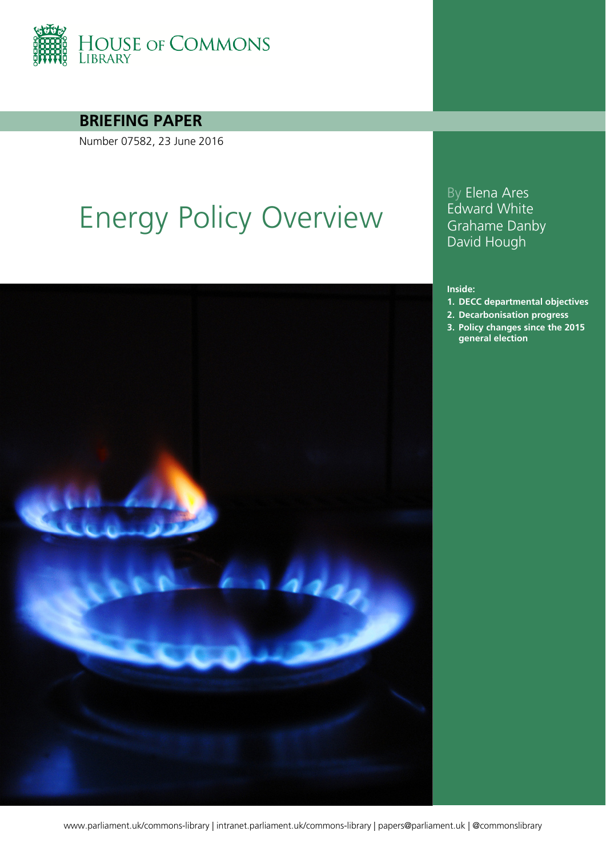

### **BRIEFING PAPER**

Number 07582, 23 June 2016

# Energy Policy Overview



## www.parliament.uk/commons-library | intranet.parliament.uk/commons-library | papers@parliament.uk | @commonslibrary

By Elena Ares Edward White Grahame Danby David Hough

#### **Inside:**

- **1. [DECC departmental objectives](#page-3-0)**
- **2. [Decarbonisation progress](#page-11-0)**
- **3. [Policy changes since the 2015](#page-13-0)  [general election](#page-13-0)**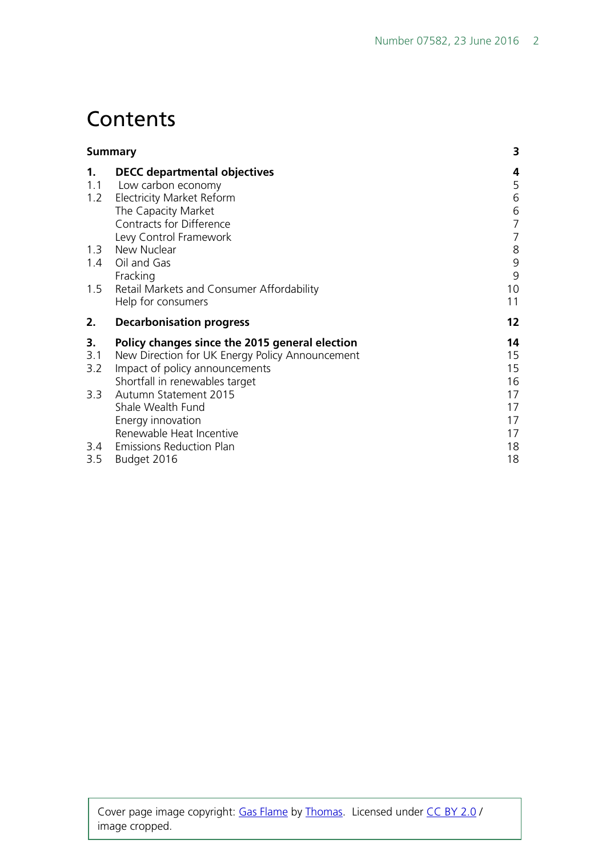# **Contents**

| <b>Summary</b> |                                                 | 3              |
|----------------|-------------------------------------------------|----------------|
| 1.             | <b>DECC departmental objectives</b>             | 4              |
| 1.1            | Low carbon economy                              | 5              |
| 1.2            | Electricity Market Reform                       | 6              |
|                | The Capacity Market                             | 6              |
|                | Contracts for Difference                        | $\overline{7}$ |
|                | Levy Control Framework                          | 7              |
| 1.3            | New Nuclear                                     | 8              |
| 1.4<br>1.5     | Oil and Gas                                     | 9              |
|                | Fracking                                        | 9              |
|                | Retail Markets and Consumer Affordability       | 10             |
|                | Help for consumers                              | 11             |
| 2.             | <b>Decarbonisation progress</b>                 | 12             |
| 3.             | Policy changes since the 2015 general election  | 14             |
| 3.1            | New Direction for UK Energy Policy Announcement | 15             |
| 3.2            | Impact of policy announcements                  | 15             |
|                | Shortfall in renewables target                  | 16             |
| 3.3            | Autumn Statement 2015                           | 17             |
|                | Shale Wealth Fund                               | 17             |
|                | Energy innovation                               | 17             |
|                | Renewable Heat Incentive                        | 17             |
|                | 3.4 Emissions Reduction Plan                    | 18             |
| 3.5            | Budget 2016                                     | 18             |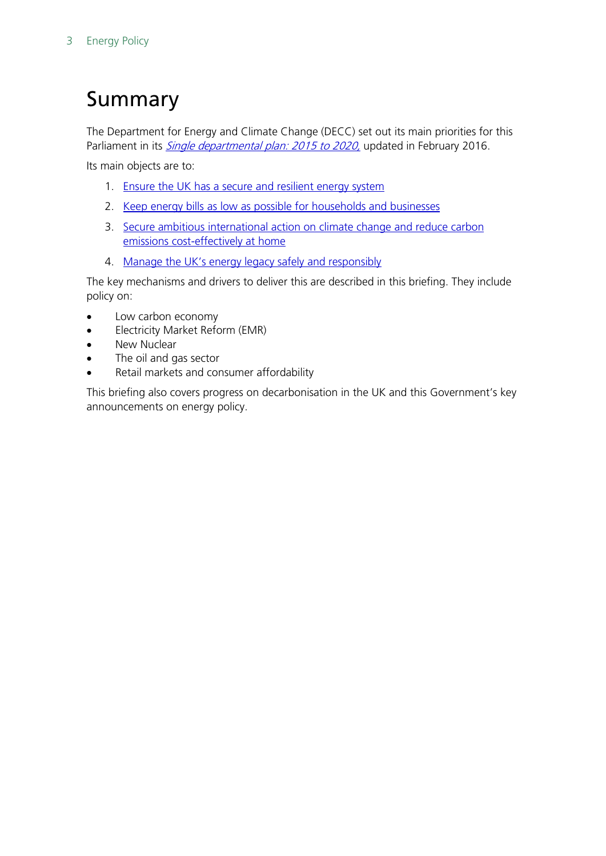# <span id="page-2-0"></span>Summary

The Department for Energy and Climate Change (DECC) set out its main priorities for this Parliament in its *Single departmental plan: 2015 to 2020*, updated in February 2016.

Its main objects are to:

- 1. [Ensure the UK has a secure and resilient energy system](https://www.gov.uk/government/publications/decc-single-departmental-plan-2015-to-2020/single-departmental-plan-2015-to-2020#Security%20And%20Resilience)
- 2. [Keep energy bills as low as possible for households and businesses](https://www.gov.uk/government/publications/decc-single-departmental-plan-2015-to-2020/single-departmental-plan-2015-to-2020#Keeping%20bills%20low)
- 3. Secure ambitious international action on climate change and reduce carbon [emissions cost-effectively at home](https://www.gov.uk/government/publications/decc-single-departmental-plan-2015-to-2020/single-departmental-plan-2015-to-2020#Decarbonisation)
- 4. [Manage the UK's energy legacy safely and responsibly](https://www.gov.uk/government/publications/decc-single-departmental-plan-2015-to-2020/single-departmental-plan-2015-to-2020#Energy%20Legacy)

The key mechanisms and drivers to deliver this are described in this briefing. They include policy on:

- Low carbon economy
- Electricity Market Reform (EMR)
- New Nuclear
- The oil and gas sector
- Retail markets and consumer affordability

This briefing also covers progress on decarbonisation in the UK and this Government's key announcements on energy policy.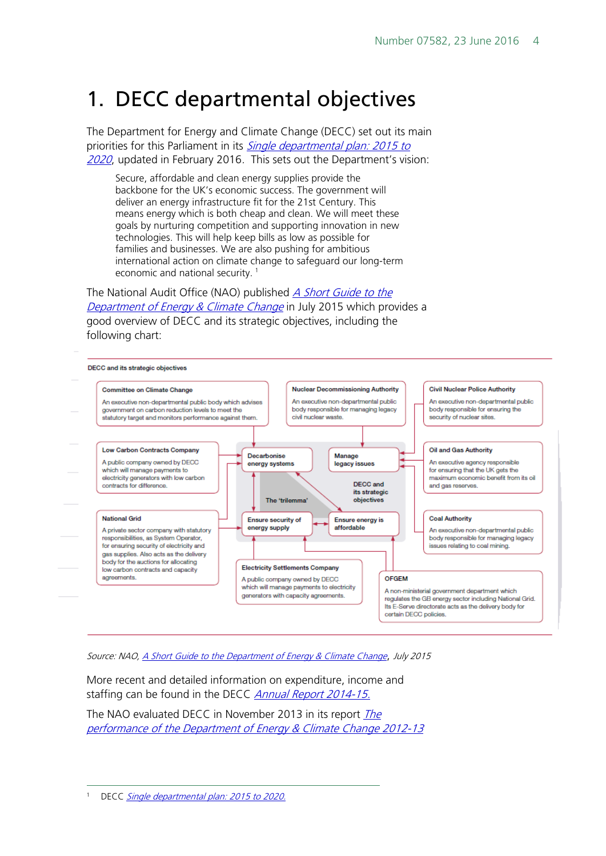# <span id="page-3-0"></span>1. DECC departmental objectives

The Department for Energy and Climate Change (DECC) set out its main priorities for this Parliament in its *Single departmental plan: 2015 to* [2020](https://www.gov.uk/government/publications/decc-single-departmental-plan-2015-to-2020), updated in February 2016. This sets out the Department's vision:

Secure, affordable and clean energy supplies provide the backbone for the UK's economic success. The government will deliver an energy infrastructure fit for the 21st Century. This means energy which is both cheap and clean. We will meet these goals by nurturing competition and supporting innovation in new technologies. This will help keep bills as low as possible for families and businesses. We are also pushing for ambitious international action on climate change to safeguard our long-term economic and national security.<sup>[1](#page-3-1)</sup>

The National Audit Office (NAO) published *A Short Guide to the* [Department of Energy & Climate Change](https://www.nao.org.uk/wp-content/uploads/2015/08/Department-of-Energy-Climate-Change-short-guide.pdf) in July 2015 which provides a good overview of DECC and its strategic objectives, including the following chart:



Source: NAO, [A Short Guide to the Department of Energy & Climate Change](https://www.nao.org.uk/wp-content/uploads/2015/08/Department-of-Energy-Climate-Change-short-guide.pdf), July 2015

More recent and detailed information on expenditure, income and staffing can be found in the DECC *[Annual Report 2014-15.](https://www.gov.uk/government/uploads/system/uploads/attachment_data/file/447144/6.656_DECC_JG_Annual_Report_2014-15_AW_WEB.pdf)* 

[The](https://www.nao.org.uk/wp-content/uploads/2013/12/10263-001-DECC-Departmental-overview_final.pdf) NAO evaluated DECC in November 2013 in its report *The* [performance of the Department of Energy & Climate Change 2012-13](https://www.nao.org.uk/wp-content/uploads/2013/12/10263-001-DECC-Departmental-overview_final.pdf)

<span id="page-3-1"></span>DECC [Single departmental plan: 2015 to 2020.](https://www.gov.uk/government/publications/decc-single-departmental-plan-2015-to-2020)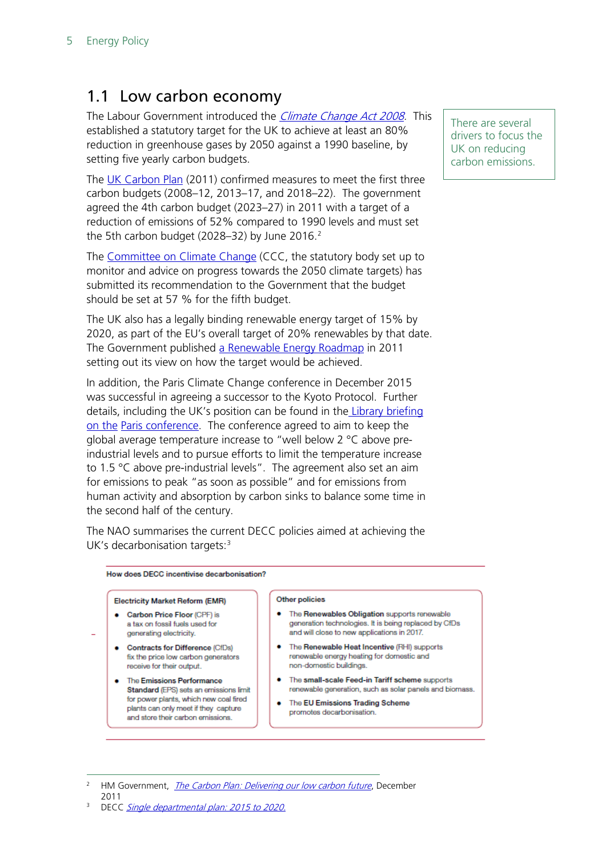# <span id="page-4-0"></span>1.1 Low carbon economy

The Labour Government introduced the *Climate Change Act 2008*. This established a statutory target for the UK to achieve at least an 80% reduction in greenhouse gases by 2050 against a 1990 baseline, by setting five yearly carbon budgets.

The [UK Carbon Plan](https://www.gov.uk/government/uploads/system/uploads/attachment_data/file/47613/3702-the-carbon-plan-delivering-our-low-carbon-future.pdf) (2011) confirmed measures to meet the first three carbon budgets (2008–12, 2013–17, and 2018–22). The government agreed the 4th carbon budget (2023–27) in 2011 with a target of a reduction of emissions of 52% compared to 1990 levels and must set the 5th carbon budget ([2](#page-4-1)028–32) by June 2016. $^2$ 

The [Committee on Climate Change](https://www.theccc.org.uk/2016/03/31/the-fifth-carbon-budget-a-balanced-path-to-a-necessary-goal/) (CCC, the statutory body set up to monitor and advice on progress towards the 2050 climate targets) has submitted its recommendation to the Government that the budget should be set at 57 % for the fifth budget.

The UK also has a legally binding renewable energy target of 15% by 2020, as part of the EU's overall target of 20% renewables by that date. The Government published [a Renewable Energy Roadmap](https://www.gov.uk/government/collections/uk-renewable-energy-roadmap) in 2011 setting out its view on how the target would be achieved.

In addition, the Paris Climate Change conference in December 2015 was successful in agreeing a successor to the Kyoto Protocol. Further details, including the UK's position can be found in the Library [briefing](http://researchbriefings.parliament.uk/ResearchBriefing/Summary/CBP-7393) [on the](http://researchbriefings.parliament.uk/ResearchBriefing/Summary/CBP-7393) [Paris conference.](http://researchbriefings.intranet.parliament.uk/ResearchBriefing/Summary/CBP-7393) The conference agreed to aim to keep the global average temperature increase to "well below 2 °C above preindustrial levels and to pursue efforts to limit the temperature increase to 1.5 °C above pre-industrial levels". The agreement also set an aim for emissions to peak "as soon as possible" and for emissions from human activity and absorption by carbon sinks to balance some time in the second half of the century.

The NAO summarises the current DECC policies aimed at achieving the UK's decarbonisation targets: $3$ 

#### How does DECC incentivise decarbonisation?

#### **Electricity Market Reform (EMR)**

- Carbon Price Floor (CPF) is a tax on fossil fuels used for generating electricity.
- Contracts for Difference (CfDs) fix the price low carbon generators receive for their output.
- . The Emissions Performance Standard (EPS) sets an emissions limit for power plants, which new coal fired plants can only meet if they capture and store their carbon emissions.

#### Other policies

- . The Renewables Obligation supports renewable generation technologies. It is being replaced by CfDs and will close to new applications in 2017.
- . The Renewable Heat Incentive (RHI) supports renewable energy heating for domestic and non-domestic buildings.
- . The small-scale Feed-in Tariff scheme supports renewable generation, such as solar panels and biomass.
- . The EU Emissions Trading Scheme promotes decarbonisation

<span id="page-4-1"></span><sup>2</sup> HM Government, *[The Carbon Plan: Delivering our low carbon future](https://www.gov.uk/government/uploads/system/uploads/attachment_data/file/47613/3702-the-carbon-plan-delivering-our-low-carbon-future.pdf)*, December 2011

There are several drivers to focus the UK on reducing carbon emissions.

<span id="page-4-2"></span><sup>&</sup>lt;sup>3</sup> DECC [Single departmental plan: 2015 to 2020.](https://www.gov.uk/government/publications/decc-single-departmental-plan-2015-to-2020)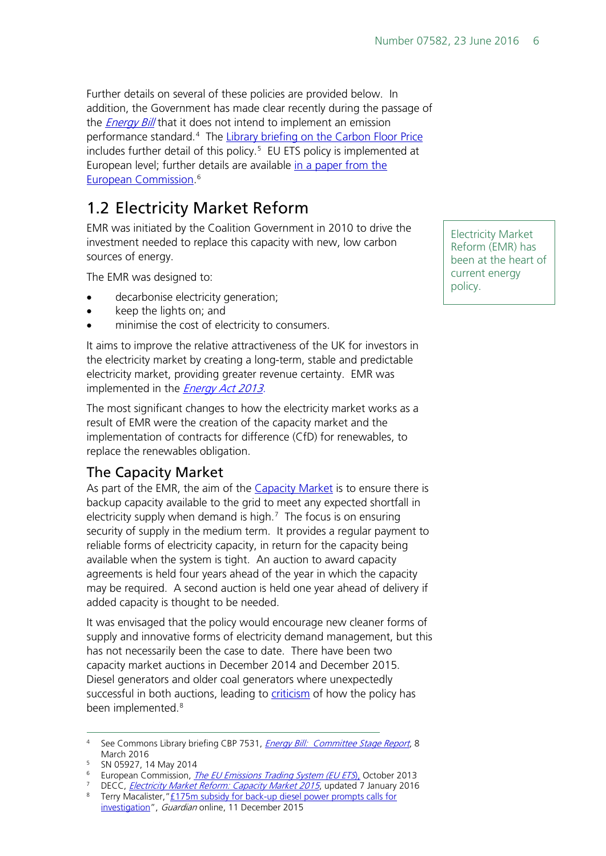Further details on several of these policies are provided below. In addition, the Government has made clear recently during the passage of the **[Energy Bill](http://researchbriefings.parliament.uk/ResearchBriefing/Summary/CBP-7531)** that it does not intend to implement an emission performance standard.<sup>[4](#page-5-2)</sup> The <u>Library briefing on the Carbon Floor Price</u> includes further detail of this policy.[5](#page-5-3) EU ETS policy is implemented at European level; further details are available [in](http://ec.europa.eu/clima/publications/docs/factsheet_ets_en.pdf) a paper from the European Commission. [6](#page-5-4)

# <span id="page-5-0"></span>1.2 Electricity Market Reform

EMR was initiated by the Coalition Government in 2010 to drive the investment needed to replace this capacity with new, low carbon sources of energy.

The EMR was designed to:

- decarbonise electricity generation;
- keep the lights on; and
- minimise the cost of electricity to consumers.

It aims to improve the relative attractiveness of the UK for investors in the electricity market by creating a long-term, stable and predictable electricity market, providing greater revenue certainty. EMR was implemented in the *Energy Ac[t 2013.](http://www.legislation.gov.uk/ukpga/2013/32/contents/enacted/data.htm)* 

The most significant changes to how the electricity market works as a result of EMR were the creation of the capacity market and the implementation of contracts for difference (CfD) for renewables, to replace the renewables obligation.

## <span id="page-5-1"></span>The Capacity Market

As part of the EMR, the aim of the [Capacity Market](https://www.gov.uk/government/collections/electricity-market-reform-capacity-market-2015) is to ensure there is backup capacity available to the grid to meet any expected shortfall in electricity supply when demand is high. $<sup>7</sup>$  $<sup>7</sup>$  $<sup>7</sup>$  The focus is on ensuring</sup> security of supply in the medium term. It provides a regular payment to reliable forms of electricity capacity, in return for the capacity being available when the system is tight. An auction to award capacity agreements is held four years ahead of the year in which the capacity may be required. A second auction is held one year ahead of delivery if added capacity is thought to be needed.

It was envisaged that the policy would encourage new cleaner forms of supply and innovative forms of electricity demand management, but this has not necessarily been the case to date. There have been two capacity market auctions in December 2014 and December 2015. Diesel generators and older coal generators where unexpectedly successful in both auctions, leading to **criticism** of how the policy has been implemented.<sup>[8](#page-5-6)</sup>

[investigation"](https://www.theguardian.com/business/2015/dec/11/diesel-farms-built-subsidies-national-grid-auction), Guardian online, 11 December 2015

Electricity Market Reform (EMR) has been at the heart of current energy policy.

<span id="page-5-2"></span><sup>&</sup>lt;sup>4</sup> See Commons Library briefing CBP 7531, *[Energy Bill: Committee Stage Report](http://researchbriefings.files.parliament.uk/documents/CBP-7531/CBP-7531.pdf)*, 8 March 2016

<span id="page-5-3"></span><sup>5</sup> SN 05927, 14 May 2014

<span id="page-5-4"></span><sup>&</sup>lt;sup>6</sup> European Commission, *[The EU Emissions Trading System \(EU ETS](http://ec.europa.eu/clima/publications/docs/factsheet_ets_en.pdf)*), October 2013

<span id="page-5-6"></span><span id="page-5-5"></span><sup>&</sup>lt;sup>7</sup> DECC, *[Electricity Market Reform: Capacity Market 2015](https://www.gov.uk/government/collections/electricity-market-reform-capacity-market-2015)*, updated 7 January 2016 8 Terry Macalister, "£175m subsidy for back-up diesel power prompts calls for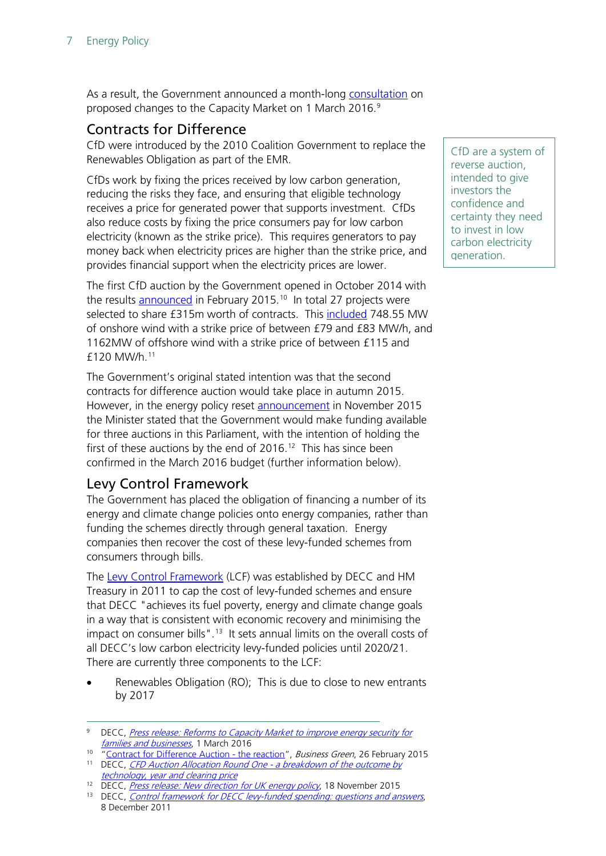As a result, the Government announced a month-long [consultation](https://www.gov.uk/government/news/reforms-to-capacity-market-to-improve-energy-security-for-families-and-businesses) on proposed changes to the Capacity Market on 1 March 2016.<sup>[9](#page-6-2)</sup>

### <span id="page-6-0"></span>Contracts for Difference

CfD were introduced by the 2010 Coalition Government to replace the Renewables Obligation as part of the EMR.

CfDs work by fixing the prices received by low carbon generation, reducing the risks they face, and ensuring that eligible technology receives a price for generated power that supports investment. CfDs also reduce costs by fixing the price consumers pay for low carbon electricity (known as the strike price). This requires generators to pay money back when electricity prices are higher than the strike price, and provides financial support when the electricity prices are lower.

The first CfD auction by the Government opened in October 2014 with the results [announced](http://www.businessgreen.com/bg/analysis/2397091/contract-for-difference-auction-the-reaction) in February 2015.<sup>[10](#page-6-3)</sup> In total 27 projects were selected to share £315m worth of contracts. This [included](https://www.gov.uk/government/uploads/system/uploads/attachment_data/file/407465/Breakdown_information_on_CFD_auctions.pdf) 748.55 MW of onshore wind with a strike price of between £79 and £83 MW/h, and 1162MW of offshore wind with a strike price of between £115 and £120 MW/h.[11](#page-6-4)

The Government's original stated intention was that the second contracts for difference auction would take place in autumn 2015. However, in the energy policy reset [announcement](https://www.gov.uk/government/news/new-direction-for-uk-energy-policy) in November 2015 the Minister stated that the Government would make funding available for three auctions in this Parliament, with the intention of holding the first of these auctions by the end of 2016. [12](#page-6-5) This has since been confirmed in the March 2016 budget (further information below).

## <span id="page-6-1"></span>Levy Control Framework

The Government has placed the obligation of financing a number of its energy and climate change policies onto energy companies, rather than funding the schemes directly through general taxation. Energy companies then recover the cost of these levy-funded schemes from consumers through bills.

The [Levy Control Framework](https://www.gov.uk/government/publications/control-framework-for-decc-levy-funded-spending-questions-and-answers) (LCF) was established by DECC and HM Treasury in 2011 to cap the cost of levy-funded schemes and ensure that DECC "achieves its fuel poverty, energy and climate change goals in a way that is consistent with economic recovery and minimising the impact on consumer bills".<sup>13</sup> It sets annual limits on the overall costs of all DECC's low carbon electricity levy-funded policies until 2020/21. There are currently three components to the LCF:

Renewables Obligation (RO); This is due to close to new entrants by 2017

CfD are a system of reverse auction, intended to give investors the confidence and certainty they need to invest in low carbon electricity generation.

<span id="page-6-2"></span><sup>&</sup>lt;sup>9</sup> DECC, *Press release: Reforms to Capacity Market to improve energy security for* [families and businesses](https://www.gov.uk/government/news/reforms-to-capacity-market-to-improve-energy-security-for-families-and-businesses), 1 March 2016

<span id="page-6-4"></span><span id="page-6-3"></span><sup>&</sup>lt;sup>10</sup> ["Contract for Difference Auction -](http://www.businessgreen.com/bg/analysis/2397091/contract-for-difference-auction-the-reaction) the reaction", Business Green, 26 February 2015 <sup>11</sup> DECC, CFD Auction Allocation Round One - a breakdown of the outcome by [technology, year and clearing price](https://www.gov.uk/government/uploads/system/uploads/attachment_data/file/407465/Breakdown_information_on_CFD_auctions.pdf)

<span id="page-6-5"></span><sup>&</sup>lt;sup>12</sup> DECC, *[Press release: New direction for UK energy policy](https://www.gov.uk/government/news/new-direction-for-uk-energy-policy)*, 18 November 2015

<span id="page-6-6"></span><sup>&</sup>lt;sup>13</sup> DECC, [Control framework for DECC levy-funded spending: questions and answers](https://www.gov.uk/government/publications/control-framework-for-decc-levy-funded-spending-questions-and-answers), 8 December 2011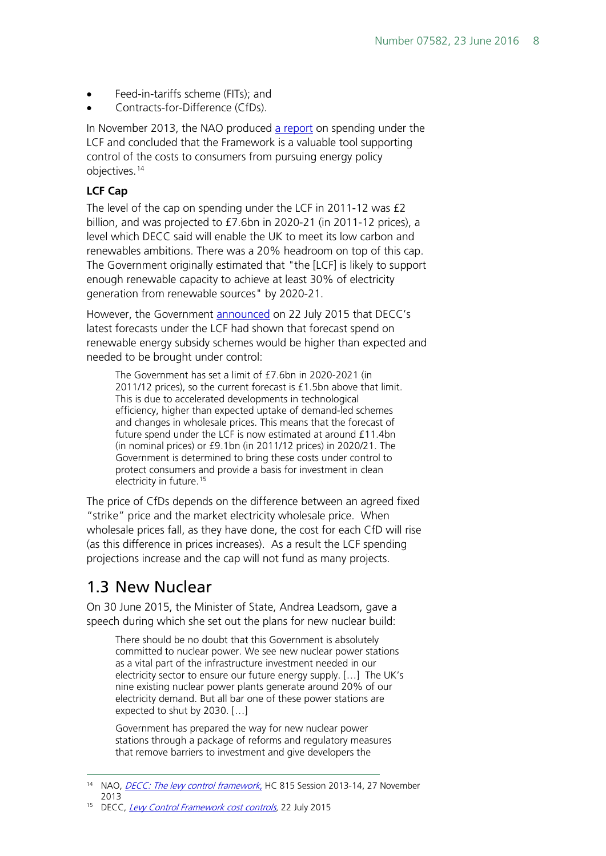- Feed-in-tariffs scheme (FITs); and
- Contracts-for-Difference (CfDs).

In November 2013, the NAO produced [a report](https://www.nao.org.uk/wp-content/uploads/2013/11/10303-001-Levy-Control-Framework.pdf) on spending under the LCF and concluded that the Framework is a valuable tool supporting control of the costs to consumers from pursuing energy policy objectives.[14](#page-7-1)

#### **LCF Cap**

The level of the cap on spending under the LCF in 2011-12 was £2 billion, and was projected to £7.6bn in 2020-21 (in 2011-12 prices), a level which DECC said will enable the UK to meet its low carbon and renewables ambitions. There was a 20% headroom on top of this cap. The Government originally estimated that "the [LCF] is likely to support enough renewable capacity to achieve at least 30% of electricity generation from renewable sources" by 2020-21.

However, the Government [announced](https://www.gov.uk/government/speeches/levy-control-framework-cost-controls) on 22 July 2015 that DECC's latest forecasts under the LCF had shown that forecast spend on renewable energy subsidy schemes would be higher than expected and needed to be brought under control:

The Government has set a limit of £7.6bn in 2020-2021 (in 2011/12 prices), so the current forecast is £1.5bn above that limit. This is due to accelerated developments in technological efficiency, higher than expected uptake of demand-led schemes and changes in wholesale prices. This means that the forecast of future spend under the LCF is now estimated at around £11.4bn (in nominal prices) or £9.1bn (in 2011/12 prices) in 2020/21. The Government is determined to bring these costs under control to protect consumers and provide a basis for investment in clean electricity in future.<sup>[15](#page-7-2)</sup>

The price of CfDs depends on the difference between an agreed fixed "strike" price and the market electricity wholesale price. When wholesale prices fall, as they have done, the cost for each CfD will rise (as this difference in prices increases). As a result the LCF spending projections increase and the cap will not fund as many projects.

# <span id="page-7-0"></span>1.3 New Nuclear

On 30 June 2015, the Minister of State, Andrea Leadsom, gave a speech during which she set out the plans for new nuclear build:

There should be no doubt that this Government is absolutely committed to nuclear power. We see new nuclear power stations as a vital part of the infrastructure investment needed in our electricity sector to ensure our future energy supply. […] The UK's nine existing nuclear power plants generate around 20% of our electricity demand. But all bar one of these power stations are expected to shut by 2030. […]

Government has prepared the way for new nuclear power stations through a package of reforms and regulatory measures that remove barriers to investment and give developers the

<span id="page-7-1"></span><sup>&</sup>lt;sup>14</sup> NAO, *[DECC: The levy control framework](https://www.nao.org.uk/wp-content/uploads/2013/11/10303-001-Levy-Control-Framework.pdf)*, HC 815 Session 2013-14, 27 November 2013

<span id="page-7-2"></span><sup>&</sup>lt;sup>15</sup> DECC, [Levy Control Framework cost controls,](https://www.gov.uk/government/speeches/levy-control-framework-cost-controls) 22 July 2015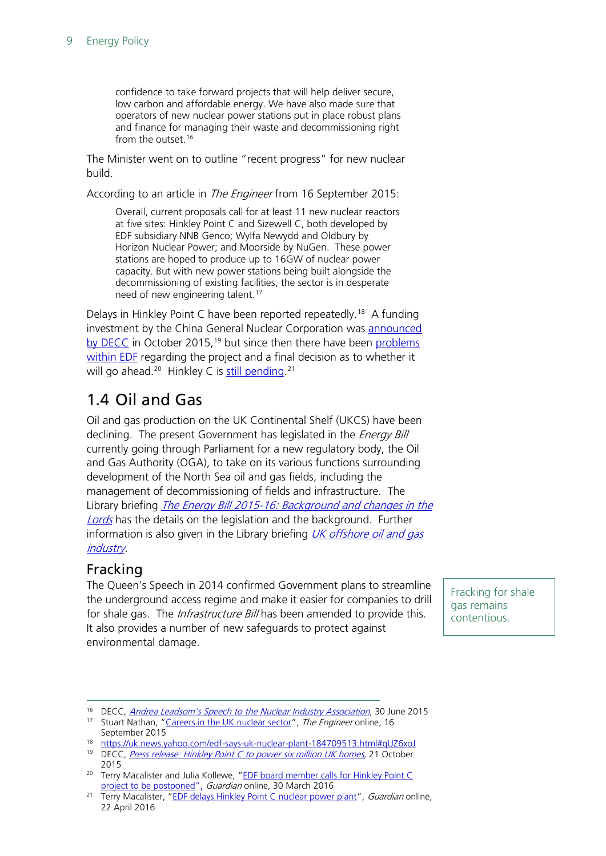confidence to take forward projects that will help deliver secure, low carbon and affordable energy. We have also made sure that operators of new nuclear power stations put in place robust plans and finance for managing their waste and decommissioning right from the outset.<sup>[16](#page-8-2)</sup>

The Minister went on to outline "recent progress" for new nuclear build.

According to an article in *The Engineer* from 16 September 2015:

Overall, current proposals call for at least 11 new nuclear reactors at five sites: Hinkley Point C and Sizewell C, both developed by EDF subsidiary NNB Genco; Wylfa Newydd and Oldbury by Horizon Nuclear Power; and Moorside by NuGen. These power stations are hoped to produce up to 16GW of nuclear power capacity. But with new power stations being built alongside the decommissioning of existing facilities, the sector is in desperate need of new engineering talent.<sup>[17](#page-8-3)</sup>

Delays in Hinkley Point C have been reported repeatedly.<sup>18</sup> A funding investment by the China General Nuclear Corporation was [announced](https://www.gov.uk/government/news/hinkley-point-c-to-power-six-million-uk-homes)  [by DECC](https://www.gov.uk/government/news/hinkley-point-c-to-power-six-million-uk-homes) in October 2015,<sup>[19](#page-8-5)</sup> but since then there have been problems [within EDF](http://www.theguardian.com/business/2016/mar/30/edf-board-member-hinkley-point-c-project-postponed) regarding the project and a final decision as to whether it will go ahead.<sup>[20](#page-8-6)</sup> Hinkley C is <u>still pending</u>.<sup>[21](#page-8-7)</sup>

# <span id="page-8-0"></span>1.4 Oil and Gas

Oil and gas production on the UK Continental Shelf (UKCS) have been declining. The present Government has legislated in the *Energy Bill* currently going through Parliament for a new regulatory body, the Oil and Gas Authority (OGA), to take on its various functions surrounding development of the North Sea oil and gas fields, including the management of decommissioning of fields and infrastructure. The Library briefing *The Energy Bill 2015-16: Background and changes in the* [Lords](http://researchbriefings.parliament.uk/ResearchBriefing/Summary/CBP-7466) has the details on the legislation and the background. Further information is also given in the Library briefing  $UK$  offshore oil and gas [industry.](http://researchbriefings.parliament.uk/ResearchBriefing/Summary/CBP-7268)

#### <span id="page-8-1"></span>Fracking

The Queen's Speech in 2014 confirmed Government plans to streamline the underground access regime and make it easier for companies to drill for shale gas. The *Infrastructure Bill* has been amended to provide this. It also provides a number of new safeguards to protect against environmental damage.

Fracking for shale gas remains contentious.

<span id="page-8-2"></span><sup>&</sup>lt;sup>16</sup> DECC, *[Andrea Leadsom's Speech to the Nuclear Industry Association](https://www.gov.uk/government/speeches/andrea-leadsoms-speech-to-the-nuclear-industry-association)*, 30 June 2015

<span id="page-8-3"></span><sup>&</sup>lt;sup>17</sup> Stuart Nathan, ["Careers in the UK nuclear sector"](http://www.theengineer.co.uk/issues/sept-2015-online/careers-in-the-uk-nuclear-sector/), The Engineer online, 16 September 2015

<span id="page-8-4"></span><sup>18</sup> <https://uk.news.yahoo.com/edf-says-uk-nuclear-plant-184709513.html#qUZ6xoJ>

<span id="page-8-5"></span><sup>&</sup>lt;sup>19</sup> DECC, *[Press release: Hinkley Point C to power six million UK homes](https://www.gov.uk/government/news/hinkley-point-c-to-power-six-million-uk-homes)*, 21 October 2015

<span id="page-8-6"></span><sup>&</sup>lt;sup>20</sup> Terry Macalister and Julia Kollewe, "EDF board member calls for Hinkley Point C [project to be postponed",](https://www.theguardian.com/business/2016/mar/30/edf-board-member-hinkley-point-c-project-postponed) Guardian online, 30 March 2016

<span id="page-8-7"></span><sup>&</sup>lt;sup>21</sup> Terry Macalister, ["EDF delays Hinkley Point](https://www.theguardian.com/uk-news/2016/apr/22/edf-delays-hinkley-point-c-project-until-summer) C nuclear power plant", Guardian online, 22 April 2016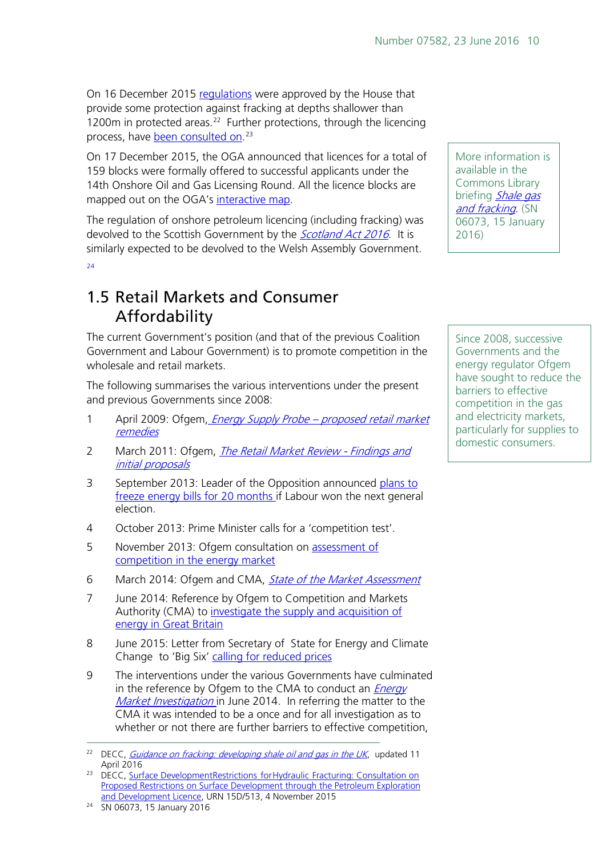On 16 December 2015 [regulations](https://www.gov.uk/government/publications/about-shale-gas-and-hydraulic-fracturing-fracking/developing-shale-oil-and-gas-in-the-uk#regulation) were approved by the House that provide some protection against fracking at depths shallower than 1200m in protected areas.<sup>[22](#page-9-1)</sup> Further protections, through the licencing process, have <u>been consulted on</u>.<sup>[23](#page-9-2)</sup>

On 17 December 2015, the OGA announced that licences for a total of 159 blocks were formally offered to successful applicants under the 14th Onshore Oil and Gas Licensing Round. All the licence blocks are mapped out on the OGA's [interactive map.](https://decc-edu.maps.arcgis.com/apps/webappviewer/index.html?id=29c31fa4b00248418e545d222e57ddaa)

The regulation of onshore petroleum licencing (including fracking) was devolved to the Scottish Government by the *[Scotland Act](http://www.legislation.gov.uk/ukpga/2016/11/contents/enacted) 2016*. It is similarly expected to be devolved to the Welsh Assembly Government.  $24$ 

## <span id="page-9-0"></span>1.5 Retail Markets and Consumer Affordability

The current Government's position (and that of the previous Coalition Government and Labour Government) is to promote competition in the wholesale and retail markets.

The following summarises the various interventions under the present and previous Governments since 2008:

- 1 April 2009: Ofgem, *Energy Supply Probe proposed retail market* [remedies](https://www.ofgem.gov.uk/sites/default/files/docs/2009/04/energy-supply-probe---proposed-retail-market-remedies_0.pdf)
- 2 March 2011: Ofgem, *[The Retail Market Review -](https://www.ofgem.gov.uk/ofgem-publications/39708/rmrfinal.pdf) Findings and* [initial proposals](https://www.ofgem.gov.uk/ofgem-publications/39708/rmrfinal.pdf)
- 3 September 2013: Leader of the Opposition announced plans to [freeze energy bills for 20 months i](http://www.bbc.co.uk/news/uk-politics-24213366)f Labour won the next general election.
- 4 October 2013: Prime Minister calls for a 'competition test'.
- 5 November 2013: Ofgem consultation on [assessment of](https://www.ofgem.gov.uk/ofgem-publications/39708/rmrfinal.pdf)  [competition in the energy market](https://www.ofgem.gov.uk/ofgem-publications/39708/rmrfinal.pdf)
- 6 March 2014: Ofgem and CMA, *[State of the Market Assessment](https://www.ofgem.gov.uk/publications-and-updates/state-market-assessment)*
- 7 June 2014: Reference by Ofgem to Competition and Markets Authority (CMA) to investigate the supply and acquisition of [energy in Great Britain](https://www.ofgem.gov.uk/ofgem-publications/88435/stateofthemarket-decisiondocumentinofgemtemplate.pdf)
- 8 June 2015: Letter from Secretary of State for Energy and Climate Change to 'Big Six' [calling for reduced prices](http://www.bbc.co.uk/news/business-32972057)
- 9 The interventions under the various Governments have culminated in the reference by Ofgem to the CMA to conduct an *Energy* [Market Investigation](https://www.ofgem.gov.uk/ofgem-publications/88435/stateofthemarket-decisiondocumentinofgemtemplate.pdf) in June 2014. In referring the matter to the CMA it was intended to be a once and for all investigation as to whether or not there are further barriers to effective competition,

More information is available in the Commons Library briefing Shale gas [and fracking](http://researchbriefings.parliament.uk/ResearchBriefing/Summary/SN06073). (SN 06073, 15 January 2016)

Since 2008, successive Governments and the energy regulator Ofgem have sought to reduce the barriers to effective competition in the gas and electricity markets, particularly for supplies to domestic consumers.

<span id="page-9-1"></span><sup>&</sup>lt;sup>22</sup> DECC, *[Guidance on fracking: developing shale oil and gas in the UK](https://www.gov.uk/government/publications/about-shale-gas-and-hydraulic-fracturing-fracking/developing-shale-oil-and-gas-in-the-uk)*, updated 11 April 2016

<span id="page-9-2"></span><sup>&</sup>lt;sup>23</sup> DECC, Surface DevelopmentRestrictions for Hydraulic Fracturing: Consultation on [Proposed Restrictions on Surface Development through the Petroleum Exploration](https://www.gov.uk/government/uploads/system/uploads/attachment_data/file/473795/Consultation_Surface_Restrictions_-_04_11_2015_FINAL.pdf)  [and Development Licence,](https://www.gov.uk/government/uploads/system/uploads/attachment_data/file/473795/Consultation_Surface_Restrictions_-_04_11_2015_FINAL.pdf) URN 15D/513, 4 November 2015

<span id="page-9-3"></span><sup>24</sup> SN 06073, 15 January 2016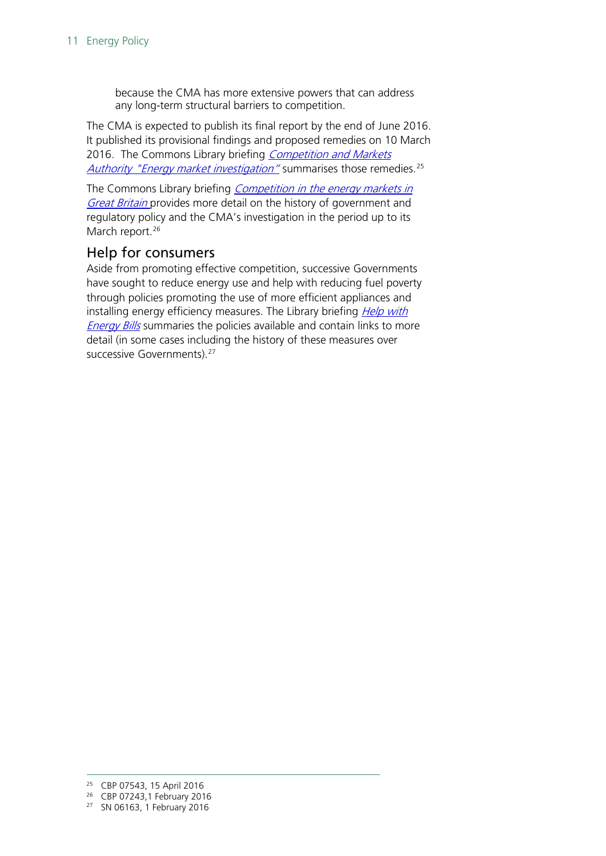because the CMA has more extensive powers that can address any long-term structural barriers to competition.

The CMA is expected to publish its final report by the end of June 2016. It published its [provisional findings and proposed remedies o](https://assets.digital.cabinet-office.gov.uk/media/56e1974ae5274a036b000018/Energy_PDR_Summary_March_2016.pdf)n 10 March 2016. The Commons Library briefing Competition and Markets [Authority "Energy market investigation](http://researchbriefings.parliament.uk/ResearchBriefing/Summary/CBP-7543)" summarises those remedies.<sup>[25](#page-10-1)</sup>

The Commons Library briefing Competition in the energy markets in Great [Britain](http://researchbriefings.files.parliament.uk/documents/CBP-7243/CBP-7243.pdf) provides more detail on the history of government and regulatory policy and the CMA's investigation in the period up to its March report.<sup>[26](#page-10-2)</sup>

#### <span id="page-10-0"></span>Help for consumers

Aside from promoting effective competition, successive Governments have sought to reduce energy use and help with reducing fuel poverty through policies promoting the use of more efficient appliances and installing energy efficiency measures. The Library briefing **Help with [Energy Bills](http://researchbriefings.parliament.uk/ResearchBriefing/Summary/SN06163)** summaries the policies available and contain links to more detail (in some cases including the history of these measures over successive Governments).<sup>[27](#page-10-3)</sup>

<span id="page-10-1"></span> <sup>25</sup> CBP 07543, 15 April 2016

<span id="page-10-2"></span><sup>26</sup> CBP 07243,1 February 2016

<span id="page-10-3"></span><sup>27</sup> SN 06163, 1 February 2016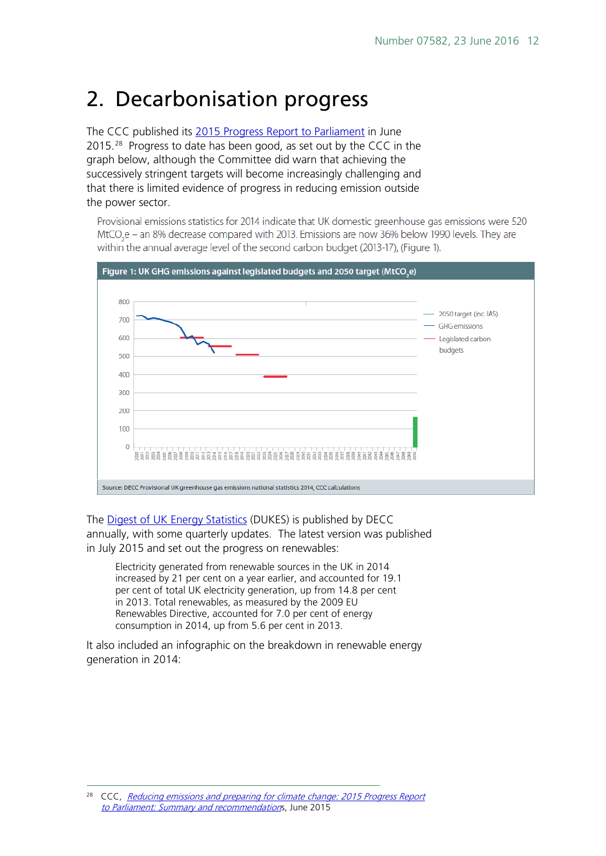# <span id="page-11-0"></span>2. Decarbonisation progress

The CCC published its [2015 Progress Report to Parliament](https://documents.theccc.org.uk/wp-content/uploads/2015/06/6.738_CCC_ExecSummary_2015_FINAL_WEB_250615.pdf) in June 2015.<sup>[28](#page-11-1)</sup> Progress to date has been good, as set out by the CCC in the graph below, although the Committee did warn that achieving the successively stringent targets will become increasingly challenging and that there is limited evidence of progress in reducing emission outside the power sector.

Provisional emissions statistics for 2014 indicate that UK domestic greenhouse gas emissions were 520 MtCO<sub>-</sub>e - an 8% decrease compared with 2013. Emissions are now 36% below 1990 levels. They are within the annual average level of the second carbon budget (2013-17), (Figure 1).



The [Digest of UK Energy Statistics](https://www.gov.uk/government/collections/digest-of-uk-energy-statistics-dukes) (DUKES) is published by DECC annually, with some quarterly updates. The latest version was published in July 2015 and set out the progress on renewables:

Electricity generated from renewable sources in the UK in 2014 increased by 21 per cent on a year earlier, and accounted for 19.1 per cent of total UK electricity generation, up from 14.8 per cent in 2013. Total renewables, as measured by the 2009 EU Renewables Directive, accounted for 7.0 per cent of energy consumption in 2014, up from 5.6 per cent in 2013.

It also included an infographic on the breakdown in renewable energy generation in 2014:

<span id="page-11-1"></span>CCC, Reducing emissions and preparing for climate change: 2015 Progress Report [to Parliament: Summary and recommendation](https://documents.theccc.org.uk/wp-content/uploads/2015/06/6.738_CCC_ExecSummary_2015_FINAL_WEB_250615.pdf)s, June 2015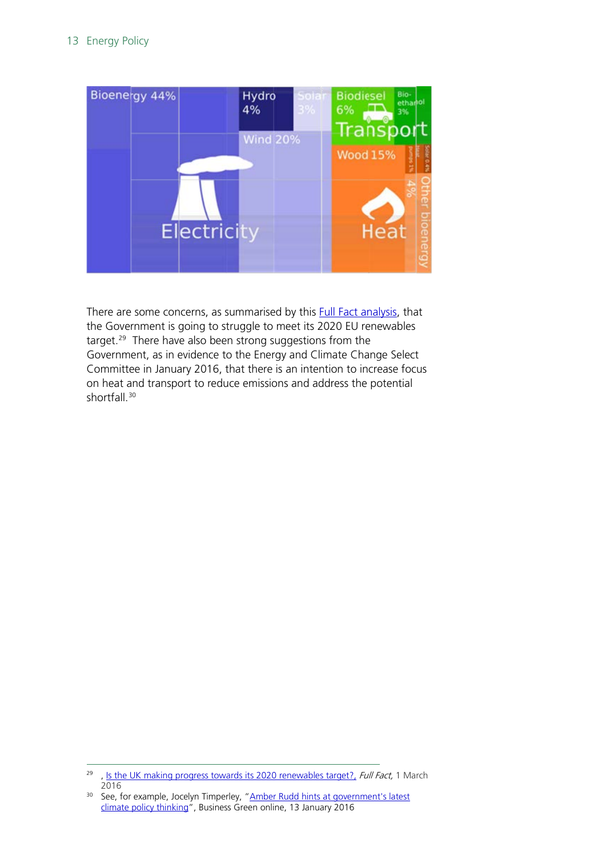

There are some concerns, as summarised by this **Full Fact analysis**, that the Government is going to struggle to meet its 2020 EU renewables target. $29$  There have also been strong suggestions from the Government, as in evidence to the Energy and Climate Change Select Committee in January 2016, that there is an intention to increase focus on heat and transport to reduce emissions and address the potential shortfall.<sup>30</sup>

<span id="page-12-0"></span><sup>&</sup>lt;sup>29</sup>, [Is the UK making progress towards its 2020 renewables target?,](https://fullfact.org/energy-bill/uk-making-good-progress-towards-its-2020-renewables-target/) Full Fact, 1 March 2016

<span id="page-12-1"></span><sup>&</sup>lt;sup>30</sup> See, for example, Jocelyn Timperley, "Amber Rudd hints at government's latest [climate policy thinking"](http://www.businessgreen.com/bg/analysis/2441751/amber-rudd-hints-at-governments-latest-climate-policy-thinking), Business Green online, 13 January 2016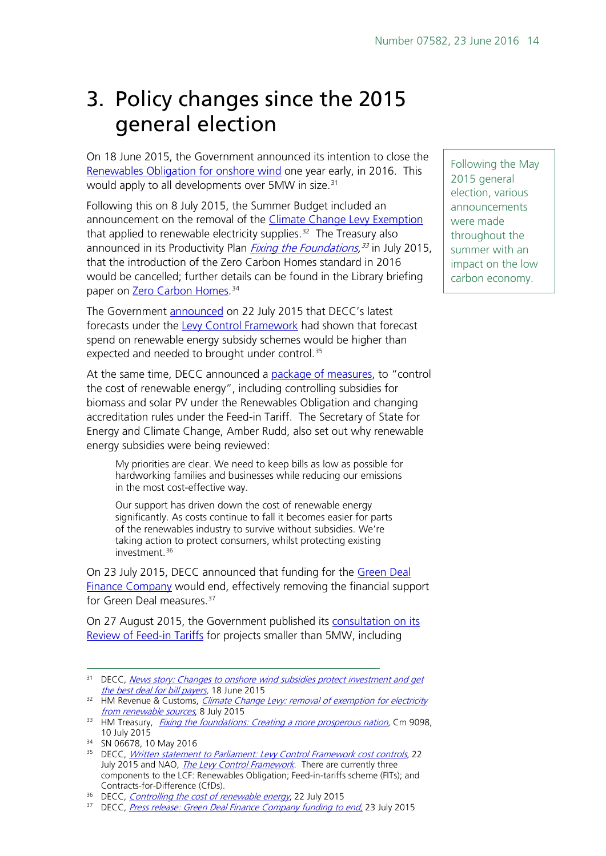# <span id="page-13-0"></span>3. Policy changes since the 2015 general election

On 18 June 2015, the Government announced its intention to close the [Renewables Obligation for onshore wind](https://www.gov.uk/government/news/changes-to-onshore-wind-subsidies-protect-investment-and-get-the-best-deal-for-bill-payers) one year early, in 2016. This would apply to all developments over 5MW in size.<sup>[31](#page-13-1)</sup>

Following this on 8 July 2015, the Summer Budget included an announcement on the removal of the [Climate Change Levy Exemption](https://www.gov.uk/government/publications/climate-change-levy-removal-of-exemption-for-electricity-from-renewable-sources) that applied to renewable electricity supplies. $32$  The Treasury also announced in its Productivity Plan *[Fixing the Foundations,](https://www.gov.uk/government/uploads/system/uploads/attachment_data/file/443898/Productivity_Plan_web.pdf)<sup>[33](#page-13-3)</sup>* in July 2015, that the introduction of the Zero Carbon Homes standard in 2016 would be cancelled; further details can be found in the Library briefing paper on <u>Zero Carbon Homes</u>.<sup>[34](#page-13-4)</sup>

The Government [announced](https://www.gov.uk/government/speeches/levy-control-framework-cost-controls) on 22 July 2015 that DECC's latest forecasts under the [Levy Control Framework](https://www.nao.org.uk/report/levy-control-framework-2/) had shown that forecast spend on renewable energy subsidy schemes would be higher than expected and needed to brought under control.<sup>[35](#page-13-5)</sup>

At the same time, DECC announced a [package of measures,](https://www.gov.uk/government/news/controlling-the-cost-of-renewable-energy) to "control the cost of renewable energy", including controlling subsidies for biomass and solar PV under the Renewables Obligation and changing accreditation rules under the Feed-in Tariff. The Secretary of State for Energy and Climate Change, Amber Rudd, also set out why renewable energy subsidies were being reviewed:

My priorities are clear. We need to keep bills as low as possible for hardworking families and businesses while reducing our emissions in the most cost-effective way.

Our support has driven down the cost of renewable energy significantly. As costs continue to fall it becomes easier for parts of the renewables industry to survive without subsidies. We're taking action to protect consumers, whilst protecting existing investment. [36](#page-13-6)

On 23 July 2015, DECC announced that funding for the Green Deal [Finance Company](https://www.gov.uk/government/news/green-deal-finance-company-funding-to-end) would end, effectively removing the financial support for Green Deal measures.<sup>[37](#page-13-7)</sup>

On 27 August 2015, the Government published its [consultation on its](https://www.gov.uk/government/consultations/consultation-on-a-review-of-the-feed-in-tariff-scheme)  [Review of Feed-in Tariffs](https://www.gov.uk/government/consultations/consultation-on-a-review-of-the-feed-in-tariff-scheme) for projects smaller than 5MW, including

Following the May 2015 general election, various announcements were made throughout the summer with an impact on the low carbon economy.

<span id="page-13-1"></span><sup>&</sup>lt;sup>31</sup> DECC, News story: Changes to onshore wind subsidies protect investment and get [the best deal for bill payers,](https://www.gov.uk/government/news/changes-to-onshore-wind-subsidies-protect-investment-and-get-the-best-deal-for-bill-payers) 18 June 2015

<span id="page-13-2"></span><sup>&</sup>lt;sup>32</sup> HM Revenue & Customs, *Climate Change Levy: removal of exemption for electricity* trom renewable sources, 8 July 2015

<span id="page-13-3"></span><sup>&</sup>lt;sup>33</sup> HM Treasury, *[Fixing the foundations: Creating a more prosperous nation](https://www.gov.uk/government/uploads/system/uploads/attachment_data/file/443898/Productivity_Plan_web.pdf)*, Cm 9098, 10 July 2015

<span id="page-13-4"></span><sup>34</sup> SN 06678, 10 May 2016

<span id="page-13-5"></span><sup>&</sup>lt;sup>35</sup> DECC, *[Written statement to Parliament: Levy Control Framework cost controls](https://www.gov.uk/government/speeches/levy-control-framework-cost-controls)*, 22 July 2015 and NAO, [The Levy Control Framework](https://www.nao.org.uk/report/levy-control-framework-2/). There are currently three components to the LCF: Renewables Obligation; Feed-in-tariffs scheme (FITs); and Contracts-for-Difference (CfDs).

<span id="page-13-6"></span><sup>&</sup>lt;sup>36</sup> DECC, *[Controlling the cost of renewable energy](https://www.gov.uk/government/news/controlling-the-cost-of-renewable-energy)*, 22 July 2015

<span id="page-13-7"></span><sup>&</sup>lt;sup>37</sup> DECC, *Press release: Green Deal Finance Company funding to end*, 23 July 2015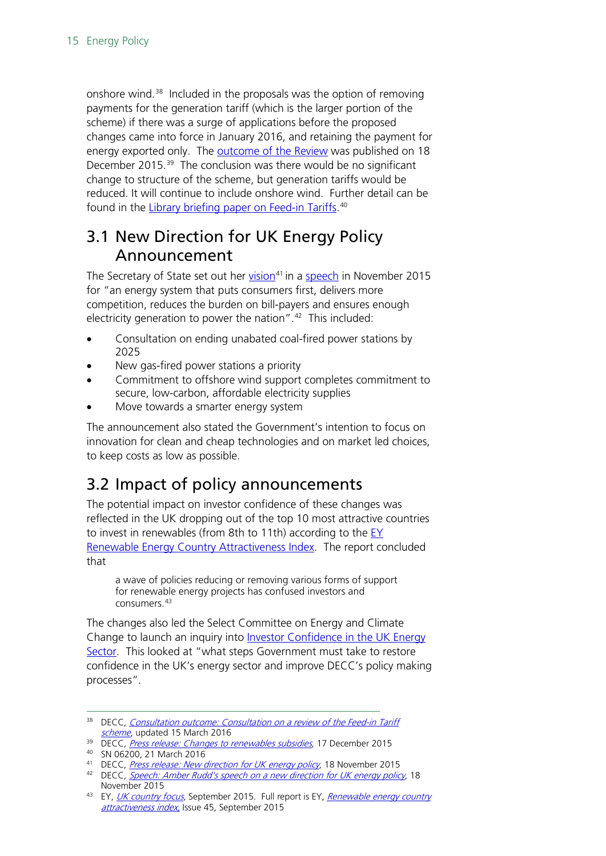onshore wind.<sup>[38](#page-14-2)</sup> Included in the proposals was the option of removing payments for the generation tariff (which is the larger portion of the scheme) if there was a surge of applications before the proposed changes came into force in January 2016, and retaining the payment for energy exported only. The [outcome of the Review](https://www.gov.uk/government/news/changes-to-renewables-subsidies) was published on 18 December 2015.<sup>[39](#page-14-3)</sup> The conclusion was there would be no significant change to structure of the scheme, but generation tariffs would be reduced. It will continue to include onshore wind. Further detail can be found in the <u>Library briefing paper on Feed-in Tariffs</u>.<sup>[40](#page-14-4)</sup>

# <span id="page-14-0"></span>3.1 New Direction for UK Energy Policy Announcement

The Secretary of State set out her [vision](https://www.gov.uk/government/news/new-direction-for-uk-energy-policy)<sup>[41](#page-14-5)</sup> in a [speech](https://www.gov.uk/government/speeches/amber-rudds-speech-on-a-new-direction-for-uk-energy-policy) in November 2015 for "an energy system that puts consumers first, delivers more competition, reduces the burden on bill-payers and ensures enough electricity generation to power the nation". $42$  This included:

- Consultation on ending unabated coal-fired power stations by 2025
- New gas-fired power stations a priority
- Commitment to offshore wind support completes commitment to secure, low-carbon, affordable electricity supplies
- Move towards a smarter energy system

The announcement also stated the Government's intention to focus on innovation for clean and cheap technologies and on market led choices, to keep costs as low as possible.

# <span id="page-14-1"></span>3.2 Impact of policy announcements

The potential impact on investor confidence of these changes was reflected in the UK dropping out of the top 10 most attractive countries to invest in renewables (from 8th to 11th) according to the [EY](http://www.ey.com/GL/en/Industries/Power---Utilities/EY-renewable-energy-country-attractiveness-index-issue-45-country-focus-uk)  [Renewable Energy Country Attractiveness Index.](http://www.ey.com/GL/en/Industries/Power---Utilities/EY-renewable-energy-country-attractiveness-index-issue-45-country-focus-uk) The report concluded that

a wave of policies reducing or removing various forms of support for renewable energy projects has confused investors and consumers. [43](#page-14-7)

The changes also led the Select Committee on Energy and Climate Change to launch an inquiry into Investor Confidence in the UK Energy [Sector.](http://www.parliament.uk/business/committees/committees-a-z/commons-select/energy-and-climate-change-committee/news-parliament-2015/investor-confidence-tor/) This looked at "what steps Government must take to restore confidence in the UK's energy sector and improve DECC's policy making processes".

<span id="page-14-2"></span><sup>&</sup>lt;sup>38</sup> DECC, Consultation outcome: Consultation on a review of the Feed-in Tariff [scheme](https://www.gov.uk/government/consultations/consultation-on-a-review-of-the-feed-in-tariff-scheme), updated 15 March 2016

<span id="page-14-3"></span><sup>&</sup>lt;sup>39</sup> DECC, *[Press release: Changes to renewables subsidies](https://www.gov.uk/government/news/changes-to-renewables-subsidies)*, 17 December 2015

<sup>40</sup> SN 06200, 21 March 2016

<span id="page-14-5"></span><span id="page-14-4"></span><sup>&</sup>lt;sup>41</sup> DECC, *[Press release: New direction for UK energy policy](https://www.gov.uk/government/news/new-direction-for-uk-energy-policy)*, 18 November 2015

<span id="page-14-6"></span><sup>&</sup>lt;sup>42</sup> DECC, **[Speech: Amber Rudd's speech on a new direction for UK](https://www.gov.uk/government/speeches/amber-rudds-speech-on-a-new-direction-for-uk-energy-policy) energy policy, 18** November 2015

<span id="page-14-7"></span><sup>&</sup>lt;sup>43</sup> EY, [UK country focus](http://www.ey.com/GL/en/Industries/Power---Utilities/EY-renewable-energy-country-attractiveness-index-issue-45-country-focus-uk), September 2015. Full report is EY, Renewable energy country [attractiveness index,](http://www.ey.com/Publication/vwLUAssets/RECAI-45-September-15-LR/$FILE/RECAI_45_Sept_15_LR.pdf) Issue 45, September 2015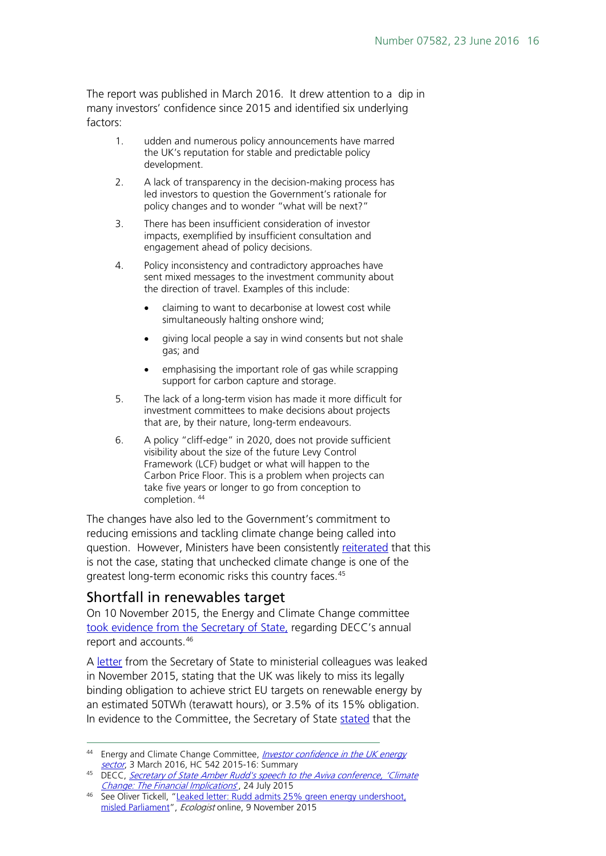The report was published in March 2016. It drew attention to a dip in many investors' confidence since 2015 and identified six underlying factors:

- 1. udden and numerous policy announcements have marred the UK's reputation for stable and predictable policy development.
- 2. A lack of transparency in the decision-making process has led investors to question the Government's rationale for policy changes and to wonder "what will be next?"
- 3. There has been insufficient consideration of investor impacts, exemplified by insufficient consultation and engagement ahead of policy decisions.
- 4. Policy inconsistency and contradictory approaches have sent mixed messages to the investment community about the direction of travel. Examples of this include:
	- claiming to want to decarbonise at lowest cost while simultaneously halting onshore wind;
	- giving local people a say in wind consents but not shale gas; and
	- emphasising the important role of gas while scrapping support for carbon capture and storage.
- 5. The lack of a long-term vision has made it more difficult for investment committees to make decisions about projects that are, by their nature, long-term endeavours.
- 6. A policy "cliff-edge" in 2020, does not provide sufficient visibility about the size of the future Levy Control Framework (LCF) budget or what will happen to the Carbon Price Floor. This is a problem when projects can take five years or longer to go from conception to completion. [44](#page-15-1)

The changes have also led to the Government's commitment to reducing emissions and tackling climate change being called into question. However, Ministers have been consistently [reiterated](https://www.gov.uk/government/speeches/secretary-of-state-speech-on-climate-change) that this is not the case, stating that unchecked climate change is one of the greatest long-term economic risks this country faces.<sup>45</sup>

### <span id="page-15-0"></span>Shortfall in renewables target

On 10 November 2015, the Energy and Climate Change committee [took evidence from the Secretary of State,](http://www.theecologist.org/News/news_analysis/2986190/leaked_letter_rudd_admits_25_green_energy_undershoot_misled_parliament.html) regarding DECC's annual report and accounts.[46](#page-15-3)

A [letter](https://www.gov.uk/government/speeches/statement-on-ending-subsidies-for-onshore-wind) from the Secretary of State to ministerial colleagues was leaked in November 2015, stating that the UK was likely to miss its legally binding obligation to achieve strict EU targets on renewable energy by an estimated 50TWh (terawatt hours), or 3.5% of its 15% obligation. In evidence to the Committee, the Secretary of State [stated](http://data.parliament.uk/writtenevidence/committeeevidence.svc/evidencedocument/energy-and-climate-change-committee/decc-annual-report-and-accounts-201415/oral/24409.html) that the

<span id="page-15-1"></span><sup>&</sup>lt;sup>44</sup> Energy and Climate Change Committee, *Investor confidence in the UK energy* [sector](http://www.publications.parliament.uk/pa/cm201516/cmselect/cmenergy/542/542.pdf#page=3), 3 March 2016, HC 542 2015-16: Summary

<span id="page-15-2"></span><sup>45</sup> DECC, Secretary of State Amber Rudd's speech to the Aviva conference, 'Climate [Change: The Financial Implications](https://www.gov.uk/government/speeches/secretary-of-state-speech-on-climate-change)', 24 July 2015

<span id="page-15-3"></span><sup>46</sup> See Oliver Tickell, ["Leaked letter: Rudd admits 25% green energy undershoot,](http://www.theecologist.org/News/news_analysis/2986190/leaked_letter_rudd_admits_25_green_energy_undershoot_misled_parliament.html)  [misled Parliament"](http://www.theecologist.org/News/news_analysis/2986190/leaked_letter_rudd_admits_25_green_energy_undershoot_misled_parliament.html), Ecologist online, 9 November 2015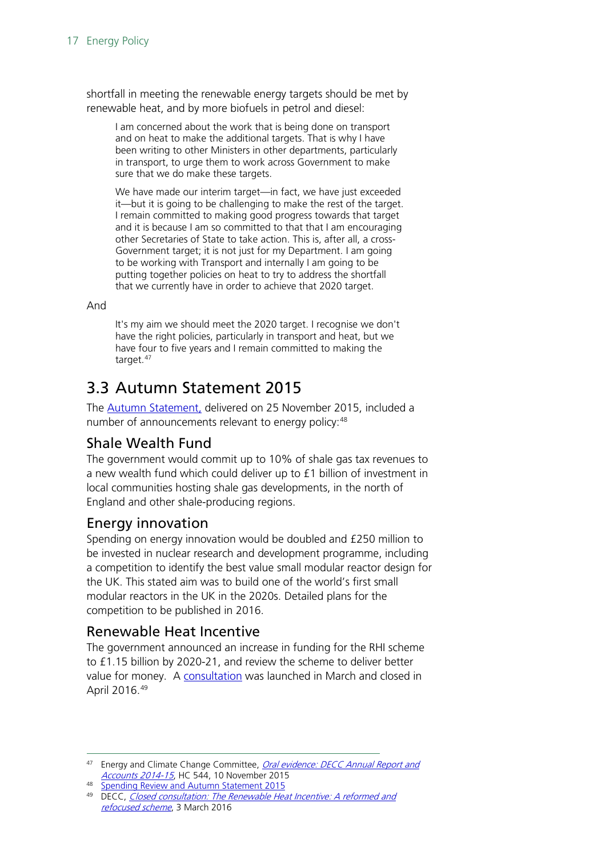shortfall in meeting the renewable energy targets should be met by renewable heat, and by more biofuels in petrol and diesel:

I am concerned about the work that is being done on transport and on heat to make the additional targets. That is why I have been writing to other Ministers in other departments, particularly in transport, to urge them to work across Government to make sure that we do make these targets.

We have made our interim target—in fact, we have just exceeded it—but it is going to be challenging to make the rest of the target. I remain committed to making good progress towards that target and it is because I am so committed to that that I am encouraging other Secretaries of State to take action. This is, after all, a cross-Government target; it is not just for my Department. I am going to be working with Transport and internally I am going to be putting together policies on heat to try to address the shortfall that we currently have in order to achieve that 2020 target.

And

It's my aim we should meet the 2020 target. I recognise we don't have the right policies, particularly in transport and heat, but we have four to five years and I remain committed to making the target.<sup>[47](#page-16-4)</sup>

# <span id="page-16-0"></span>3.3 Autumn Statement 2015

The [Autumn Statement,](https://www.gov.uk/government/topical-events/autumn-statement-and-spending-review-2015) delivered on 25 November 2015, included a number of announcements relevant to energy policy: <sup>[48](#page-16-5)</sup>

### <span id="page-16-1"></span>Shale Wealth Fund

The government would commit up to 10% of shale gas tax revenues to a new wealth fund which could deliver up to £1 billion of investment in local communities hosting shale gas developments, in the north of England and other shale-producing regions.

## <span id="page-16-2"></span>Energy innovation

Spending on energy innovation would be doubled and £250 million to be invested in nuclear research and development programme, including a competition to identify the best value small modular reactor design for the UK. This stated aim was to build one of the world's first small modular reactors in the UK in the 2020s. Detailed plans for the competition to be published in 2016.

## <span id="page-16-3"></span>Renewable Heat Incentive

The government announced an increase in funding for the RHI scheme to £1.15 billion by 2020-21, and review the scheme to deliver better value for money. A [consultation](https://www.gov.uk/government/consultations/the-renewable-heat-incentive-a-reformed-and-refocused-scheme) was launched in March and closed in April 2016.[49](#page-16-6)

<span id="page-16-4"></span><sup>47</sup> Energy and Climate Change Committee, Oral evidence: DECC Annual Report and [Accounts 2014-15](http://data.parliament.uk/writtenevidence/committeeevidence.svc/evidencedocument/energy-and-climate-change-committee/decc-annual-report-and-accounts-201415/oral/24409.html), HC 544, 10 November 2015

<span id="page-16-5"></span><sup>48</sup> [Spending Review and Autumn Statement 2015](https://www.gov.uk/government/topical-events/autumn-statement-and-spending-review-2015)

<span id="page-16-6"></span><sup>&</sup>lt;sup>49</sup> DECC, Closed consultation: The Renewable Heat Incentive: A reformed and [refocused scheme](https://www.gov.uk/government/consultations/the-renewable-heat-incentive-a-reformed-and-refocused-scheme), 3 March 2016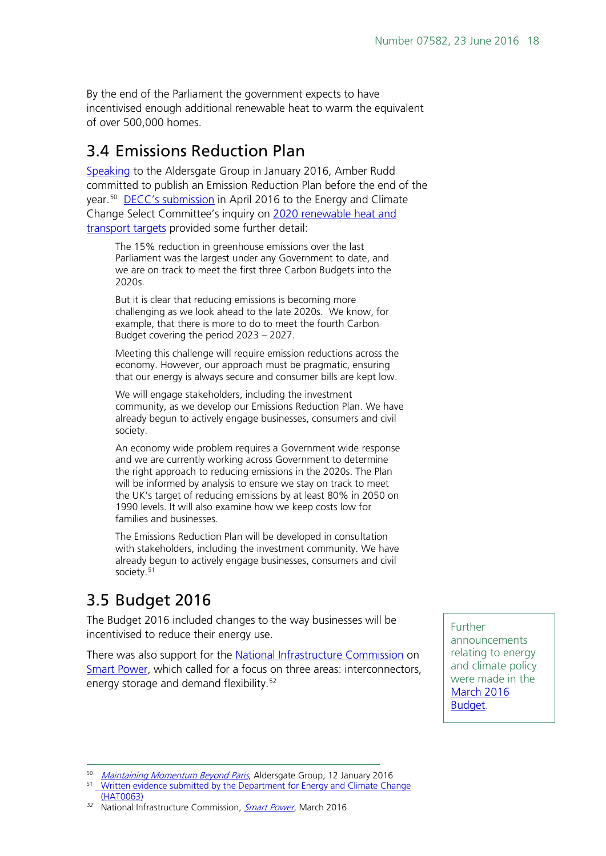By the end of the Parliament the government expects to have incentivised enough additional renewable heat to warm the equivalent of over 500,000 homes.

# <span id="page-17-0"></span>3.4 Emissions Reduction Plan

[Speaking](http://www.aldersgategroup.org.uk/events/maintaining-the-momentum-beyond-paris) to the Aldersgate Group in January 2016, Amber Rudd committed to publish an Emission Reduction Plan before the end of the year.[50](#page-17-2) [DECC's submission](http://data.parliament.uk/writtenevidence/committeeevidence.svc/evidencedocument/energy-and-climate-change-committee/2020-heat-and-transport-renewable-targets/written/31995.html) in April 2016 to the Energy and Climate Change Select Committee's inquiry on [2020 renewable heat and](http://www.parliament.uk/business/committees/committees-a-z/commons-select/energy-and-climate-change-committee/inquiries/parliament-2015/heat-transport-15-16/)  [transport targets](http://www.parliament.uk/business/committees/committees-a-z/commons-select/energy-and-climate-change-committee/inquiries/parliament-2015/heat-transport-15-16/) provided some further detail:

The 15% reduction in greenhouse emissions over the last Parliament was the largest under any Government to date, and we are on track to meet the first three Carbon Budgets into the 2020s.

But it is clear that reducing emissions is becoming more challenging as we look ahead to the late 2020s. We know, for example, that there is more to do to meet the fourth Carbon Budget covering the period 2023 – 2027.

Meeting this challenge will require emission reductions across the economy. However, our approach must be pragmatic, ensuring that our energy is always secure and consumer bills are kept low.

We will engage stakeholders, including the investment community, as we develop our Emissions Reduction Plan. We have already begun to actively engage businesses, consumers and civil society.

An economy wide problem requires a Government wide response and we are currently working across Government to determine the right approach to reducing emissions in the 2020s. The Plan will be informed by analysis to ensure we stay on track to meet the UK's target of reducing emissions by at least 80% in 2050 on 1990 levels. It will also examine how we keep costs low for families and businesses.

The Emissions Reduction Plan will be developed in consultation with stakeholders, including the investment community. We have already begun to actively engage businesses, consumers and civil society.<sup>[51](#page-17-3)</sup>

# <span id="page-17-1"></span>3.5 Budget 2016

The Budget 2016 included changes to the way businesses will be incentivised to reduce their energy use.

There was also support for the [National Infrastructure Commission](https://www.gov.uk/government/organisations/national-infrastructure-commission) on [Smart Power,](https://www.gov.uk/government/uploads/system/uploads/attachment_data/file/505218/IC_Energy_Report_web.pdf) which called for a focus on three areas: interconnectors, energy storage and demand flexibility.<sup>[52](#page-17-4)</sup>

Further announcements relating to energy and climate policy were made in the **March 2016** [Budget.](https://www.gov.uk/government/topical-events/budget-2016)

<span id="page-17-4"></span>52 National Infrastructure Commission, [Smart Power](https://www.gov.uk/government/uploads/system/uploads/attachment_data/file/505218/IC_Energy_Report_web.pdf), March 2016

<span id="page-17-2"></span><sup>&</sup>lt;sup>50</sup> [Maintaining Momentum Beyond Paris](http://www.aldersgategroup.org.uk/events/maintaining-the-momentum-beyond-paris), Aldersgate Group, 12 January 2016

<span id="page-17-3"></span><sup>&</sup>lt;sup>51</sup> Written evidence submitted by the Department for Energy and Climate Change [\(HAT0063\)](http://data.parliament.uk/writtenevidence/committeeevidence.svc/evidencedocument/energy-and-climate-change-committee/2020-heat-and-transport-renewable-targets/written/31995.html)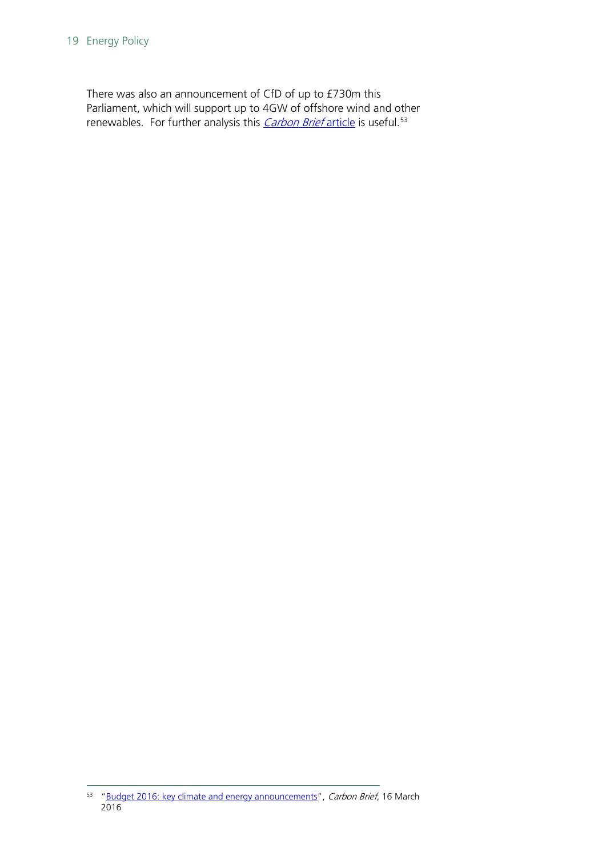There was also an announcement of CfD of up to £730m this Parliament, which will support up to 4GW of offshore wind and other renewables. For further analysis this *[Carbon Brief](http://www.carbonbrief.org/budget-2016-key-climate-and-energy-announcements)* article is useful.<sup>53</sup>

<span id="page-18-0"></span><sup>53</sup> ["Budget 2016: key climate and energy announcements"](http://www.carbonbrief.org/budget-2016-key-climate-and-energy-announcements), Carbon Brief, 16 March 2016